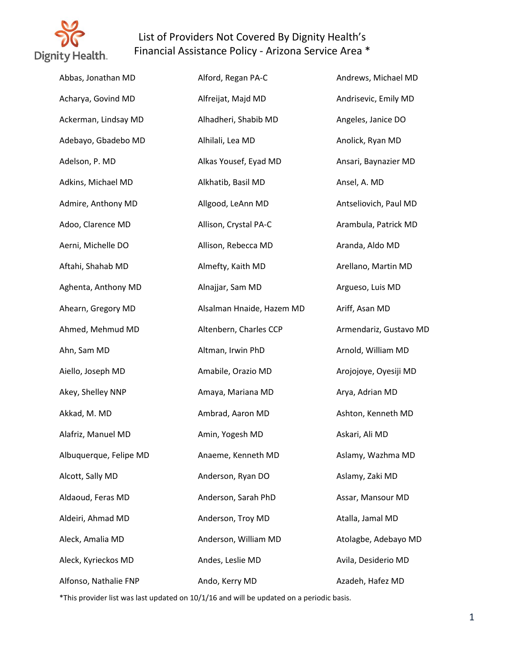

| Abbas, Jonathan MD     | Alford, Regan PA-C        | Andrews, Michael MD    |
|------------------------|---------------------------|------------------------|
| Acharya, Govind MD     | Alfreijat, Majd MD        | Andrisevic, Emily MD   |
| Ackerman, Lindsay MD   | Alhadheri, Shabib MD      | Angeles, Janice DO     |
| Adebayo, Gbadebo MD    | Alhilali, Lea MD          | Anolick, Ryan MD       |
| Adelson, P. MD         | Alkas Yousef, Eyad MD     | Ansari, Baynazier MD   |
| Adkins, Michael MD     | Alkhatib, Basil MD        | Ansel, A. MD           |
| Admire, Anthony MD     | Allgood, LeAnn MD         | Antseliovich, Paul MD  |
| Adoo, Clarence MD      | Allison, Crystal PA-C     | Arambula, Patrick MD   |
| Aerni, Michelle DO     | Allison, Rebecca MD       | Aranda, Aldo MD        |
| Aftahi, Shahab MD      | Almefty, Kaith MD         | Arellano, Martin MD    |
| Aghenta, Anthony MD    | Alnajjar, Sam MD          | Argueso, Luis MD       |
| Ahearn, Gregory MD     | Alsalman Hnaide, Hazem MD | Ariff, Asan MD         |
| Ahmed, Mehmud MD       | Altenbern, Charles CCP    | Armendariz, Gustavo MD |
| Ahn, Sam MD            | Altman, Irwin PhD         | Arnold, William MD     |
| Aiello, Joseph MD      | Amabile, Orazio MD        | Arojojoye, Oyesiji MD  |
| Akey, Shelley NNP      | Amaya, Mariana MD         | Arya, Adrian MD        |
| Akkad, M. MD           | Ambrad, Aaron MD          | Ashton, Kenneth MD     |
| Alafriz, Manuel MD     | Amin, Yogesh MD           | Askari, Ali MD         |
| Albuquerque, Felipe MD | Anaeme, Kenneth MD        | Aslamy, Wazhma MD      |
| Alcott, Sally MD       | Anderson, Ryan DO         | Aslamy, Zaki MD        |
| Aldaoud, Feras MD      | Anderson, Sarah PhD       | Assar, Mansour MD      |
| Aldeiri, Ahmad MD      | Anderson, Troy MD         | Atalla, Jamal MD       |
| Aleck, Amalia MD       | Anderson, William MD      | Atolagbe, Adebayo MD   |
| Aleck, Kyrieckos MD    | Andes, Leslie MD          | Avila, Desiderio MD    |
| Alfonso, Nathalie FNP  | Ando, Kerry MD            | Azadeh, Hafez MD       |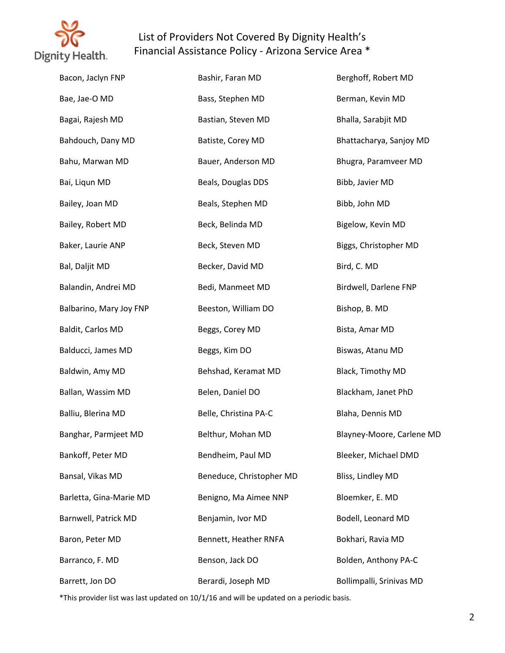

| Bacon, Jaclyn FNP       | Bashir, Faran MD         | Berghoff, Robert MD       |
|-------------------------|--------------------------|---------------------------|
| Bae, Jae-O MD           | Bass, Stephen MD         | Berman, Kevin MD          |
| Bagai, Rajesh MD        | Bastian, Steven MD       | Bhalla, Sarabjit MD       |
| Bahdouch, Dany MD       | Batiste, Corey MD        | Bhattacharya, Sanjoy MD   |
| Bahu, Marwan MD         | Bauer, Anderson MD       | Bhugra, Paramveer MD      |
| Bai, Liqun MD           | Beals, Douglas DDS       | Bibb, Javier MD           |
| Bailey, Joan MD         | Beals, Stephen MD        | Bibb, John MD             |
| Bailey, Robert MD       | Beck, Belinda MD         | Bigelow, Kevin MD         |
| Baker, Laurie ANP       | Beck, Steven MD          | Biggs, Christopher MD     |
| Bal, Daljit MD          | Becker, David MD         | Bird, C. MD               |
| Balandin, Andrei MD     | Bedi, Manmeet MD         | Birdwell, Darlene FNP     |
| Balbarino, Mary Joy FNP | Beeston, William DO      | Bishop, B. MD             |
| Baldit, Carlos MD       | Beggs, Corey MD          | Bista, Amar MD            |
| Balducci, James MD      | Beggs, Kim DO            | Biswas, Atanu MD          |
| Baldwin, Amy MD         | Behshad, Keramat MD      | Black, Timothy MD         |
| Ballan, Wassim MD       | Belen, Daniel DO         | Blackham, Janet PhD       |
| Balliu, Blerina MD      | Belle, Christina PA-C    | Blaha, Dennis MD          |
| Banghar, Parmjeet MD    | Belthur, Mohan MD        | Blayney-Moore, Carlene MD |
| Bankoff, Peter MD       | Bendheim, Paul MD        | Bleeker, Michael DMD      |
| Bansal, Vikas MD        | Beneduce, Christopher MD | Bliss, Lindley MD         |
| Barletta, Gina-Marie MD | Benigno, Ma Aimee NNP    | Bloemker, E. MD           |
| Barnwell, Patrick MD    | Benjamin, Ivor MD        | Bodell, Leonard MD        |
| Baron, Peter MD         | Bennett, Heather RNFA    | Bokhari, Ravia MD         |
| Barranco, F. MD         | Benson, Jack DO          | Bolden, Anthony PA-C      |
| Barrett, Jon DO         | Berardi, Joseph MD       | Bollimpalli, Srinivas MD  |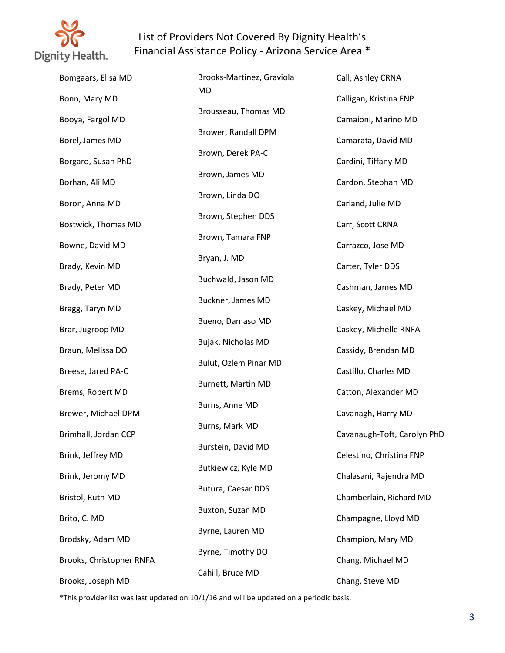

| Bomgaars, Elisa MD       | Brooks-Martinez, Graviola | Call, Ashley CRNA           |
|--------------------------|---------------------------|-----------------------------|
| Bonn, Mary MD            | MD                        | Calligan, Kristina FNP      |
| Booya, Fargol MD         | Brousseau, Thomas MD      | Camaioni, Marino MD         |
| Borel, James MD          | Brower, Randall DPM       | Camarata, David MD          |
| Borgaro, Susan PhD       | Brown, Derek PA-C         | Cardini, Tiffany MD         |
| Borhan, Ali MD           | Brown, James MD           | Cardon, Stephan MD          |
| Boron, Anna MD           | Brown, Linda DO           | Carland, Julie MD           |
| Bostwick, Thomas MD      | Brown, Stephen DDS        | Carr, Scott CRNA            |
| Bowne, David MD          | Brown, Tamara FNP         | Carrazco, Jose MD           |
| Brady, Kevin MD          | Bryan, J. MD              | Carter, Tyler DDS           |
| Brady, Peter MD          | Buchwald, Jason MD        | Cashman, James MD           |
| Bragg, Taryn MD          | Buckner, James MD         | Caskey, Michael MD          |
| Brar, Jugroop MD         | Bueno, Damaso MD          | Caskey, Michelle RNFA       |
| Braun, Melissa DO        | Bujak, Nicholas MD        | Cassidy, Brendan MD         |
| Breese, Jared PA-C       | Bulut, Ozlem Pinar MD     | Castillo, Charles MD        |
| Brems, Robert MD         | Burnett, Martin MD        | Catton, Alexander MD        |
| Brewer, Michael DPM      | Burns, Anne MD            | Cavanagh, Harry MD          |
| Brimhall, Jordan CCP     | Burns, Mark MD            | Cavanaugh-Toft, Carolyn PhD |
| Brink, Jeffrey MD        | Burstein, David MD        | Celestino, Christina FNP    |
| Brink, Jeromy MD         | Butkiewicz, Kyle MD       | Chalasani, Rajendra MD      |
| Bristol, Ruth MD         | Butura, Caesar DDS        | Chamberlain, Richard MD     |
| Brito, C. MD             | Buxton, Suzan MD          | Champagne, Lloyd MD         |
| Brodsky, Adam MD         | Byrne, Lauren MD          | Champion, Mary MD           |
| Brooks, Christopher RNFA | Byrne, Timothy DO         | Chang, Michael MD           |
| Brooks, Joseph MD        | Cahill, Bruce MD          | Chang, Steve MD             |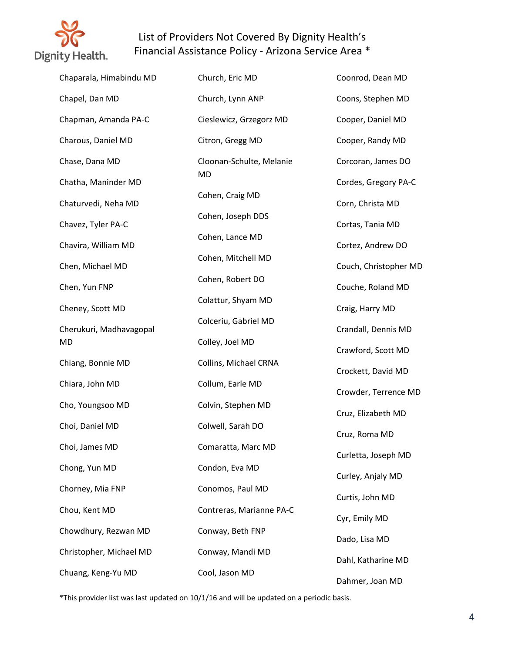

| Chaparala, Himabindu MD | Church, Eric MD          | Coonrod, Dean MD      |
|-------------------------|--------------------------|-----------------------|
| Chapel, Dan MD          | Church, Lynn ANP         | Coons, Stephen MD     |
| Chapman, Amanda PA-C    | Cieslewicz, Grzegorz MD  | Cooper, Daniel MD     |
| Charous, Daniel MD      | Citron, Gregg MD         | Cooper, Randy MD      |
| Chase, Dana MD          | Cloonan-Schulte, Melanie | Corcoran, James DO    |
| Chatha, Maninder MD     | <b>MD</b>                | Cordes, Gregory PA-C  |
| Chaturvedi, Neha MD     | Cohen, Craig MD          | Corn, Christa MD      |
| Chavez, Tyler PA-C      | Cohen, Joseph DDS        | Cortas, Tania MD      |
| Chavira, William MD     | Cohen, Lance MD          | Cortez, Andrew DO     |
| Chen, Michael MD        | Cohen, Mitchell MD       | Couch, Christopher MD |
| Chen, Yun FNP           | Cohen, Robert DO         | Couche, Roland MD     |
| Cheney, Scott MD        | Colattur, Shyam MD       | Craig, Harry MD       |
| Cherukuri, Madhavagopal | Colceriu, Gabriel MD     | Crandall, Dennis MD   |
| MD                      | Colley, Joel MD          | Crawford, Scott MD    |
| Chiang, Bonnie MD       | Collins, Michael CRNA    | Crockett, David MD    |
| Chiara, John MD         | Collum, Earle MD         | Crowder, Terrence MD  |
| Cho, Youngsoo MD        | Colvin, Stephen MD       | Cruz, Elizabeth MD    |
| Choi, Daniel MD         | Colwell, Sarah DO        | Cruz, Roma MD         |
| Choi, James MD          | Comaratta, Marc MD       | Curletta, Joseph MD   |
| Chong, Yun MD           | Condon, Eva MD           | Curley, Anjaly MD     |
| Chorney, Mia FNP        | Conomos, Paul MD         | Curtis, John MD       |
| Chou, Kent MD           | Contreras, Marianne PA-C | Cyr, Emily MD         |
| Chowdhury, Rezwan MD    | Conway, Beth FNP         | Dado, Lisa MD         |
| Christopher, Michael MD | Conway, Mandi MD         | Dahl, Katharine MD    |
| Chuang, Keng-Yu MD      | Cool, Jason MD           | Dahmer, Joan MD       |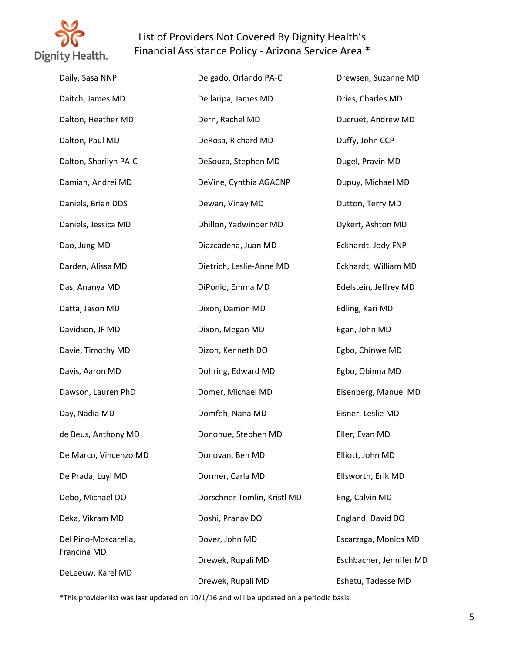

| Daily, Sasa NNP       | Delgado, Orlando PA-C       | Drewsen, Suzanne MD     |
|-----------------------|-----------------------------|-------------------------|
| Daitch, James MD      | Dellaripa, James MD         | Dries, Charles MD       |
| Dalton, Heather MD    | Dern, Rachel MD             | Ducruet, Andrew MD      |
| Dalton, Paul MD       | DeRosa, Richard MD          | Duffy, John CCP         |
| Dalton, Sharilyn PA-C | DeSouza, Stephen MD         | Dugel, Pravin MD        |
| Damian, Andrei MD     | DeVine, Cynthia AGACNP      | Dupuy, Michael MD       |
| Daniels, Brian DDS    | Dewan, Vinay MD             | Dutton, Terry MD        |
| Daniels, Jessica MD   | Dhillon, Yadwinder MD       | Dykert, Ashton MD       |
| Dao, Jung MD          | Diazcadena, Juan MD         | Eckhardt, Jody FNP      |
| Darden, Alissa MD     | Dietrich, Leslie-Anne MD    | Eckhardt, William MD    |
| Das, Ananya MD        | DiPonio, Emma MD            | Edelstein, Jeffrey MD   |
| Datta, Jason MD       | Dixon, Damon MD             | Edling, Kari MD         |
| Davidson, JF MD       | Dixon, Megan MD             | Egan, John MD           |
| Davie, Timothy MD     | Dizon, Kenneth DO           | Egbo, Chinwe MD         |
| Davis, Aaron MD       | Dohring, Edward MD          | Egbo, Obinna MD         |
| Dawson, Lauren PhD    | Domer, Michael MD           | Eisenberg, Manuel MD    |
| Day, Nadia MD         | Domfeh, Nana MD             | Eisner, Leslie MD       |
| de Beus, Anthony MD   | Donohue, Stephen MD         | Eller, Evan MD          |
| De Marco, Vincenzo MD | Donovan, Ben MD             | Elliott, John MD        |
| De Prada, Luyi MD     | Dormer, Carla MD            | Ellsworth, Erik MD      |
| Debo, Michael DO      | Dorschner Tomlin, Kristl MD | Eng, Calvin MD          |
| Deka, Vikram MD       | Doshi, Pranav DO            | England, David DO       |
| Del Pino-Moscarella,  | Dover, John MD              | Escarzaga, Monica MD    |
| Francina MD           | Drewek, Rupali MD           | Eschbacher, Jennifer MD |
| DeLeeuw, Karel MD     | Drewek, Rupali MD           | Eshetu, Tadesse MD      |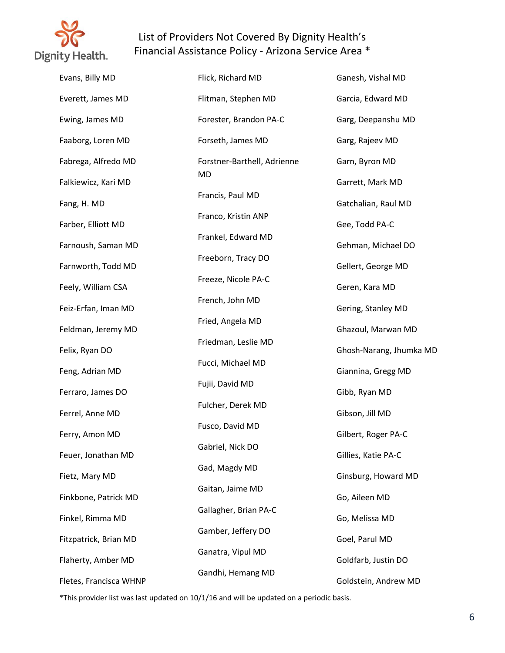

| Evans, Billy MD        | Flick, Richard MD           | Ganesh, Vishal MD       |
|------------------------|-----------------------------|-------------------------|
| Everett, James MD      | Flitman, Stephen MD         | Garcia, Edward MD       |
| Ewing, James MD        | Forester, Brandon PA-C      | Garg, Deepanshu MD      |
| Faaborg, Loren MD      | Forseth, James MD           | Garg, Rajeev MD         |
| Fabrega, Alfredo MD    | Forstner-Barthell, Adrienne | Garn, Byron MD          |
| Falkiewicz, Kari MD    | MD                          | Garrett, Mark MD        |
| Fang, H. MD            | Francis, Paul MD            | Gatchalian, Raul MD     |
| Farber, Elliott MD     | Franco, Kristin ANP         | Gee, Todd PA-C          |
| Farnoush, Saman MD     | Frankel, Edward MD          | Gehman, Michael DO      |
| Farnworth, Todd MD     | Freeborn, Tracy DO          | Gellert, George MD      |
| Feely, William CSA     | Freeze, Nicole PA-C         | Geren, Kara MD          |
| Feiz-Erfan, Iman MD    | French, John MD             | Gering, Stanley MD      |
| Feldman, Jeremy MD     | Fried, Angela MD            | Ghazoul, Marwan MD      |
| Felix, Ryan DO         | Friedman, Leslie MD         | Ghosh-Narang, Jhumka MD |
| Feng, Adrian MD        | Fucci, Michael MD           | Giannina, Gregg MD      |
| Ferraro, James DO      | Fujii, David MD             | Gibb, Ryan MD           |
| Ferrel, Anne MD        | Fulcher, Derek MD           | Gibson, Jill MD         |
| Ferry, Amon MD         | Fusco, David MD             | Gilbert, Roger PA-C     |
| Feuer, Jonathan MD     | Gabriel, Nick DO            | Gillies, Katie PA-C     |
| Fietz, Mary MD         | Gad, Magdy MD               | Ginsburg, Howard MD     |
| Finkbone, Patrick MD   | Gaitan, Jaime MD            | Go, Aileen MD           |
| Finkel, Rimma MD       | Gallagher, Brian PA-C       | Go, Melissa MD          |
| Fitzpatrick, Brian MD  | Gamber, Jeffery DO          | Goel, Parul MD          |
| Flaherty, Amber MD     | Ganatra, Vipul MD           | Goldfarb, Justin DO     |
| Fletes, Francisca WHNP | Gandhi, Hemang MD           | Goldstein, Andrew MD    |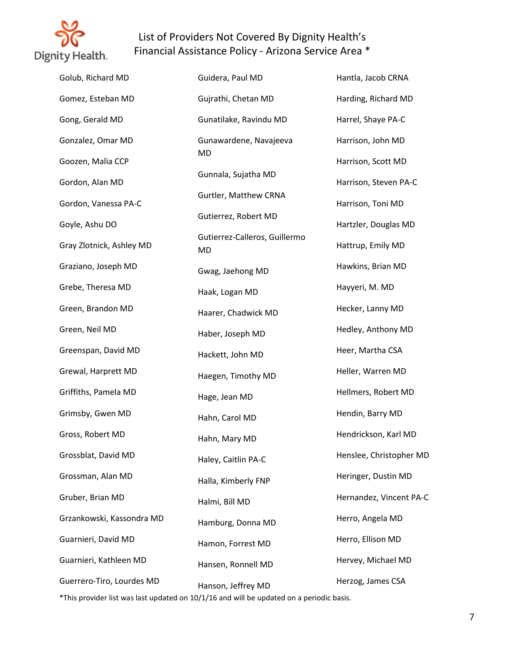

| Golub, Richard MD         | Guidera, Paul MD                    | Hantla, Jacob CRNA      |
|---------------------------|-------------------------------------|-------------------------|
| Gomez, Esteban MD         | Gujrathi, Chetan MD                 | Harding, Richard MD     |
| Gong, Gerald MD           | Gunatilake, Ravindu MD              | Harrel, Shaye PA-C      |
| Gonzalez, Omar MD         | Gunawardene, Navajeeva              | Harrison, John MD       |
| Goozen, Malia CCP         | MD                                  | Harrison, Scott MD      |
| Gordon, Alan MD           | Gunnala, Sujatha MD                 | Harrison, Steven PA-C   |
| Gordon, Vanessa PA-C      | Gurtler, Matthew CRNA               | Harrison, Toni MD       |
| Goyle, Ashu DO            | Gutierrez, Robert MD                | Hartzler, Douglas MD    |
| Gray Zlotnick, Ashley MD  | Gutierrez-Calleros, Guillermo<br>MD | Hattrup, Emily MD       |
| Graziano, Joseph MD       | Gwag, Jaehong MD                    | Hawkins, Brian MD       |
| Grebe, Theresa MD         | Haak, Logan MD                      | Hayyeri, M. MD          |
| Green, Brandon MD         | Haarer, Chadwick MD                 | Hecker, Lanny MD        |
| Green, Neil MD            | Haber, Joseph MD                    | Hedley, Anthony MD      |
| Greenspan, David MD       | Hackett, John MD                    | Heer, Martha CSA        |
| Grewal, Harprett MD       | Haegen, Timothy MD                  | Heller, Warren MD       |
| Griffiths, Pamela MD      | Hage, Jean MD                       | Hellmers, Robert MD     |
| Grimsby, Gwen MD          | Hahn, Carol MD                      | Hendin, Barry MD        |
| Gross, Robert MD          | Hahn, Mary MD                       | Hendrickson, Karl MD    |
| Grossblat, David MD       | Haley, Caitlin PA-C                 | Henslee, Christopher MD |
| Grossman, Alan MD         | Halla, Kimberly FNP                 | Heringer, Dustin MD     |
| Gruber, Brian MD          | Halmi, Bill MD                      | Hernandez, Vincent PA-C |
| Grzankowski, Kassondra MD | Hamburg, Donna MD                   | Herro, Angela MD        |
| Guarnieri, David MD       | Hamon, Forrest MD                   | Herro, Ellison MD       |
| Guarnieri, Kathleen MD    | Hansen, Ronnell MD                  | Hervey, Michael MD      |
| Guerrero-Tiro, Lourdes MD | Hanson, Jeffrey MD                  | Herzog, James CSA       |
|                           |                                     |                         |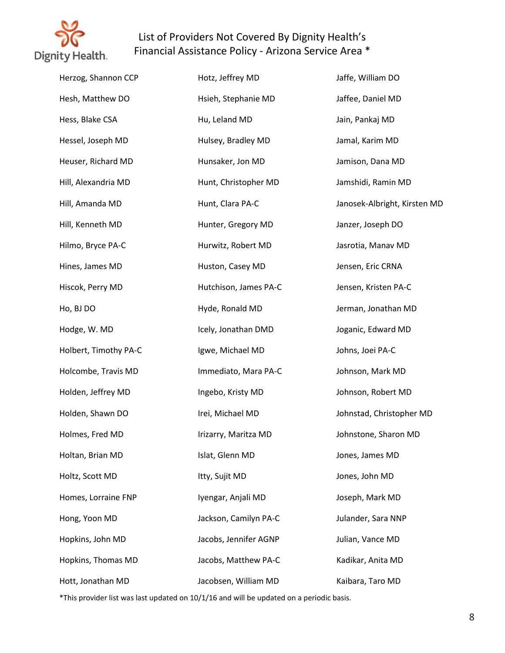

| Herzog, Shannon CCP   | Hotz, Jeffrey MD      | Jaffe, William DO            |
|-----------------------|-----------------------|------------------------------|
| Hesh, Matthew DO      | Hsieh, Stephanie MD   | Jaffee, Daniel MD            |
| Hess, Blake CSA       | Hu, Leland MD         | Jain, Pankaj MD              |
| Hessel, Joseph MD     | Hulsey, Bradley MD    | Jamal, Karim MD              |
| Heuser, Richard MD    | Hunsaker, Jon MD      | Jamison, Dana MD             |
| Hill, Alexandria MD   | Hunt, Christopher MD  | Jamshidi, Ramin MD           |
| Hill, Amanda MD       | Hunt, Clara PA-C      | Janosek-Albright, Kirsten MD |
| Hill, Kenneth MD      | Hunter, Gregory MD    | Janzer, Joseph DO            |
| Hilmo, Bryce PA-C     | Hurwitz, Robert MD    | Jasrotia, Manav MD           |
| Hines, James MD       | Huston, Casey MD      | Jensen, Eric CRNA            |
| Hiscok, Perry MD      | Hutchison, James PA-C | Jensen, Kristen PA-C         |
| Ho, BJ DO             | Hyde, Ronald MD       | Jerman, Jonathan MD          |
| Hodge, W. MD          | Icely, Jonathan DMD   | Joganic, Edward MD           |
| Holbert, Timothy PA-C | Igwe, Michael MD      | Johns, Joei PA-C             |
| Holcombe, Travis MD   | Immediato, Mara PA-C  | Johnson, Mark MD             |
| Holden, Jeffrey MD    | Ingebo, Kristy MD     | Johnson, Robert MD           |
| Holden, Shawn DO      | Irei, Michael MD      | Johnstad, Christopher MD     |
| Holmes, Fred MD       | Irizarry, Maritza MD  | Johnstone, Sharon MD         |
| Holtan, Brian MD      | Islat, Glenn MD       | Jones, James MD              |
| Holtz, Scott MD       | Itty, Sujit MD        | Jones, John MD               |
| Homes, Lorraine FNP   | Iyengar, Anjali MD    | Joseph, Mark MD              |
| Hong, Yoon MD         | Jackson, Camilyn PA-C | Julander, Sara NNP           |
| Hopkins, John MD      | Jacobs, Jennifer AGNP | Julian, Vance MD             |
| Hopkins, Thomas MD    | Jacobs, Matthew PA-C  | Kadikar, Anita MD            |
| Hott, Jonathan MD     | Jacobsen, William MD  | Kaibara, Taro MD             |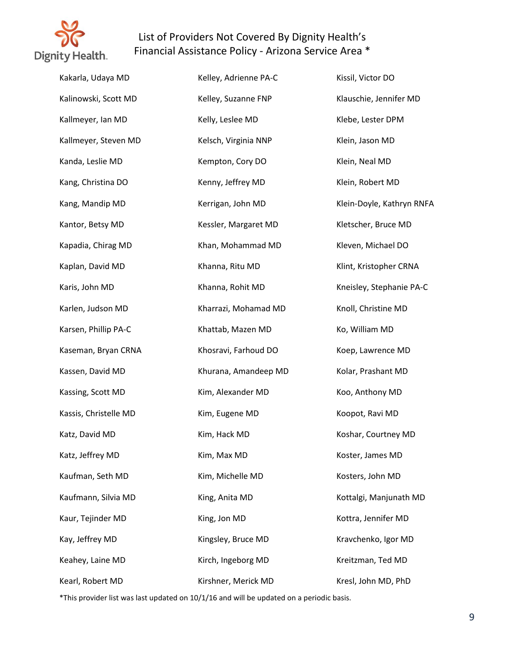

| Kakarla, Udaya MD     | Kelley, Adrienne PA-C | Kissil, Victor DO         |
|-----------------------|-----------------------|---------------------------|
| Kalinowski, Scott MD  | Kelley, Suzanne FNP   | Klauschie, Jennifer MD    |
| Kallmeyer, Ian MD     | Kelly, Leslee MD      | Klebe, Lester DPM         |
| Kallmeyer, Steven MD  | Kelsch, Virginia NNP  | Klein, Jason MD           |
| Kanda, Leslie MD      | Kempton, Cory DO      | Klein, Neal MD            |
| Kang, Christina DO    | Kenny, Jeffrey MD     | Klein, Robert MD          |
| Kang, Mandip MD       | Kerrigan, John MD     | Klein-Doyle, Kathryn RNFA |
| Kantor, Betsy MD      | Kessler, Margaret MD  | Kletscher, Bruce MD       |
| Kapadia, Chirag MD    | Khan, Mohammad MD     | Kleven, Michael DO        |
| Kaplan, David MD      | Khanna, Ritu MD       | Klint, Kristopher CRNA    |
| Karis, John MD        | Khanna, Rohit MD      | Kneisley, Stephanie PA-C  |
| Karlen, Judson MD     | Kharrazi, Mohamad MD  | Knoll, Christine MD       |
| Karsen, Phillip PA-C  | Khattab, Mazen MD     | Ko, William MD            |
| Kaseman, Bryan CRNA   | Khosravi, Farhoud DO  | Koep, Lawrence MD         |
| Kassen, David MD      | Khurana, Amandeep MD  | Kolar, Prashant MD        |
| Kassing, Scott MD     | Kim, Alexander MD     | Koo, Anthony MD           |
| Kassis, Christelle MD | Kim, Eugene MD        | Koopot, Ravi MD           |
| Katz, David MD        | Kim, Hack MD          | Koshar, Courtney MD       |
| Katz, Jeffrey MD      | Kim, Max MD           | Koster, James MD          |
| Kaufman, Seth MD      | Kim, Michelle MD      | Kosters, John MD          |
| Kaufmann, Silvia MD   | King, Anita MD        | Kottalgi, Manjunath MD    |
| Kaur, Tejinder MD     | King, Jon MD          | Kottra, Jennifer MD       |
| Kay, Jeffrey MD       | Kingsley, Bruce MD    | Kravchenko, Igor MD       |
| Keahey, Laine MD      | Kirch, Ingeborg MD    | Kreitzman, Ted MD         |
| Kearl, Robert MD      | Kirshner, Merick MD   | Kresl, John MD, PhD       |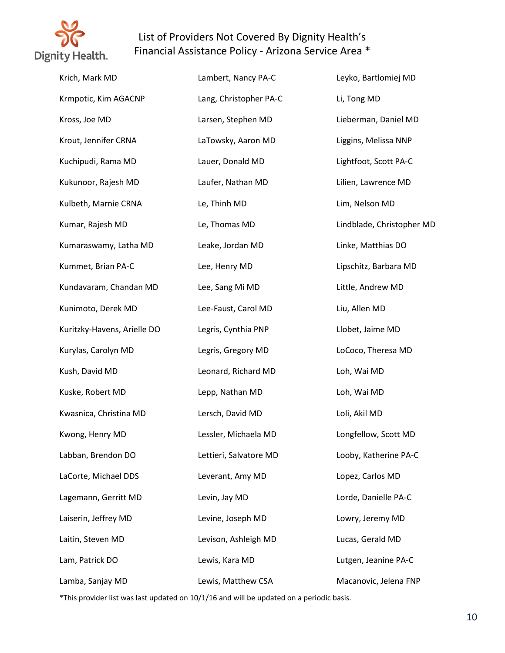

| Krich, Mark MD              | Lambert, Nancy PA-C    | Leyko, Bartlomiej MD      |
|-----------------------------|------------------------|---------------------------|
| Krmpotic, Kim AGACNP        | Lang, Christopher PA-C | Li, Tong MD               |
| Kross, Joe MD               | Larsen, Stephen MD     | Lieberman, Daniel MD      |
| Krout, Jennifer CRNA        | LaTowsky, Aaron MD     | Liggins, Melissa NNP      |
| Kuchipudi, Rama MD          | Lauer, Donald MD       | Lightfoot, Scott PA-C     |
| Kukunoor, Rajesh MD         | Laufer, Nathan MD      | Lilien, Lawrence MD       |
| Kulbeth, Marnie CRNA        | Le, Thinh MD           | Lim, Nelson MD            |
| Kumar, Rajesh MD            | Le, Thomas MD          | Lindblade, Christopher MD |
| Kumaraswamy, Latha MD       | Leake, Jordan MD       | Linke, Matthias DO        |
| Kummet, Brian PA-C          | Lee, Henry MD          | Lipschitz, Barbara MD     |
| Kundavaram, Chandan MD      | Lee, Sang Mi MD        | Little, Andrew MD         |
| Kunimoto, Derek MD          | Lee-Faust, Carol MD    | Liu, Allen MD             |
| Kuritzky-Havens, Arielle DO | Legris, Cynthia PNP    | Llobet, Jaime MD          |
| Kurylas, Carolyn MD         | Legris, Gregory MD     | LoCoco, Theresa MD        |
| Kush, David MD              | Leonard, Richard MD    | Loh, Wai MD               |
| Kuske, Robert MD            | Lepp, Nathan MD        | Loh, Wai MD               |
| Kwasnica, Christina MD      | Lersch, David MD       | Loli, Akil MD             |
| Kwong, Henry MD             | Lessler, Michaela MD   | Longfellow, Scott MD      |
| Labban, Brendon DO          | Lettieri, Salvatore MD | Looby, Katherine PA-C     |
| LaCorte, Michael DDS        | Leverant, Amy MD       | Lopez, Carlos MD          |
| Lagemann, Gerritt MD        | Levin, Jay MD          | Lorde, Danielle PA-C      |
| Laiserin, Jeffrey MD        | Levine, Joseph MD      | Lowry, Jeremy MD          |
| Laitin, Steven MD           | Levison, Ashleigh MD   | Lucas, Gerald MD          |
| Lam, Patrick DO             | Lewis, Kara MD         | Lutgen, Jeanine PA-C      |
| Lamba, Sanjay MD            | Lewis, Matthew CSA     | Macanovic, Jelena FNP     |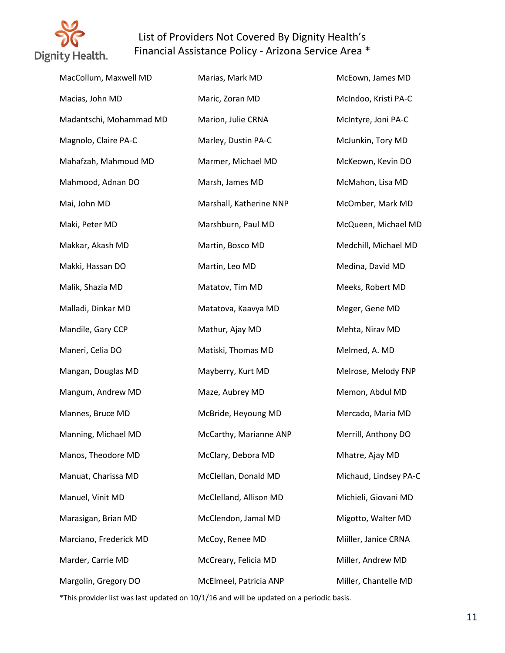

| MacCollum, Maxwell MD   | Marias, Mark MD         | McEown, James MD      |
|-------------------------|-------------------------|-----------------------|
| Macias, John MD         | Maric, Zoran MD         | McIndoo, Kristi PA-C  |
| Madantschi, Mohammad MD | Marion, Julie CRNA      | McIntyre, Joni PA-C   |
| Magnolo, Claire PA-C    | Marley, Dustin PA-C     | McJunkin, Tory MD     |
| Mahafzah, Mahmoud MD    | Marmer, Michael MD      | McKeown, Kevin DO     |
| Mahmood, Adnan DO       | Marsh, James MD         | McMahon, Lisa MD      |
| Mai, John MD            | Marshall, Katherine NNP | McOmber, Mark MD      |
| Maki, Peter MD          | Marshburn, Paul MD      | McQueen, Michael MD   |
| Makkar, Akash MD        | Martin, Bosco MD        | Medchill, Michael MD  |
| Makki, Hassan DO        | Martin, Leo MD          | Medina, David MD      |
| Malik, Shazia MD        | Matatov, Tim MD         | Meeks, Robert MD      |
| Malladi, Dinkar MD      | Matatova, Kaavya MD     | Meger, Gene MD        |
| Mandile, Gary CCP       | Mathur, Ajay MD         | Mehta, Nirav MD       |
| Maneri, Celia DO        | Matiski, Thomas MD      | Melmed, A. MD         |
| Mangan, Douglas MD      | Mayberry, Kurt MD       | Melrose, Melody FNP   |
| Mangum, Andrew MD       | Maze, Aubrey MD         | Memon, Abdul MD       |
| Mannes, Bruce MD        | McBride, Heyoung MD     | Mercado, Maria MD     |
| Manning, Michael MD     | McCarthy, Marianne ANP  | Merrill, Anthony DO   |
| Manos, Theodore MD      | McClary, Debora MD      | Mhatre, Ajay MD       |
| Manuat, Charissa MD     | McClellan, Donald MD    | Michaud, Lindsey PA-C |
| Manuel, Vinit MD        | McClelland, Allison MD  | Michieli, Giovani MD  |
| Marasigan, Brian MD     | McClendon, Jamal MD     | Migotto, Walter MD    |
| Marciano, Frederick MD  | McCoy, Renee MD         | Miiller, Janice CRNA  |
| Marder, Carrie MD       | McCreary, Felicia MD    | Miller, Andrew MD     |
| Margolin, Gregory DO    | McElmeel, Patricia ANP  | Miller, Chantelle MD  |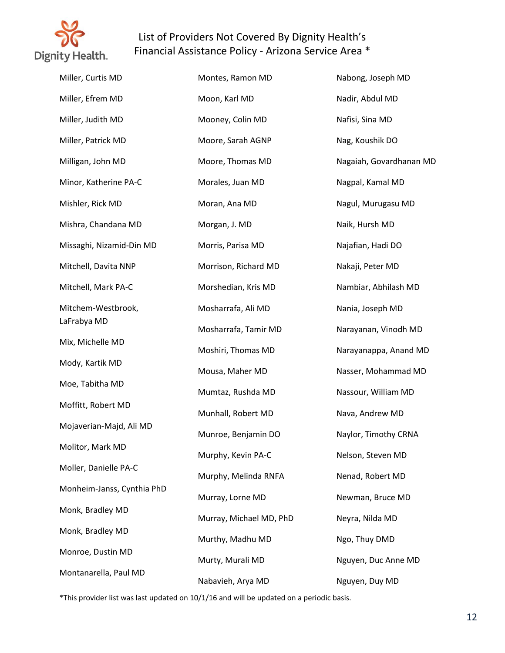

| Miller, Curtis MD          | Montes, Ramon MD        | Nabong, Joseph MD       |
|----------------------------|-------------------------|-------------------------|
| Miller, Efrem MD           | Moon, Karl MD           | Nadir, Abdul MD         |
| Miller, Judith MD          | Mooney, Colin MD        | Nafisi, Sina MD         |
| Miller, Patrick MD         | Moore, Sarah AGNP       | Nag, Koushik DO         |
| Milligan, John MD          | Moore, Thomas MD        | Nagaiah, Govardhanan MD |
| Minor, Katherine PA-C      | Morales, Juan MD        | Nagpal, Kamal MD        |
| Mishler, Rick MD           | Moran, Ana MD           | Nagul, Murugasu MD      |
| Mishra, Chandana MD        | Morgan, J. MD           | Naik, Hursh MD          |
| Missaghi, Nizamid-Din MD   | Morris, Parisa MD       | Najafian, Hadi DO       |
| Mitchell, Davita NNP       | Morrison, Richard MD    | Nakaji, Peter MD        |
| Mitchell, Mark PA-C        | Morshedian, Kris MD     | Nambiar, Abhilash MD    |
| Mitchem-Westbrook,         | Mosharrafa, Ali MD      | Nania, Joseph MD        |
| LaFrabya MD                | Mosharrafa, Tamir MD    | Narayanan, Vinodh MD    |
| Mix, Michelle MD           | Moshiri, Thomas MD      | Narayanappa, Anand MD   |
| Mody, Kartik MD            | Mousa, Maher MD         | Nasser, Mohammad MD     |
| Moe, Tabitha MD            | Mumtaz, Rushda MD       | Nassour, William MD     |
| Moffitt, Robert MD         | Munhall, Robert MD      | Nava, Andrew MD         |
| Mojaverian-Majd, Ali MD    | Munroe, Benjamin DO     | Naylor, Timothy CRNA    |
| Molitor, Mark MD           | Murphy, Kevin PA-C      | Nelson, Steven MD       |
| Moller, Danielle PA-C      | Murphy, Melinda RNFA    | Nenad, Robert MD        |
| Monheim-Janss, Cynthia PhD | Murray, Lorne MD        | Newman, Bruce MD        |
| Monk, Bradley MD           | Murray, Michael MD, PhD | Neyra, Nilda MD         |
| Monk, Bradley MD           | Murthy, Madhu MD        | Ngo, Thuy DMD           |
| Monroe, Dustin MD          | Murty, Murali MD        | Nguyen, Duc Anne MD     |
| Montanarella, Paul MD      | Nabavieh, Arya MD       | Nguyen, Duy MD          |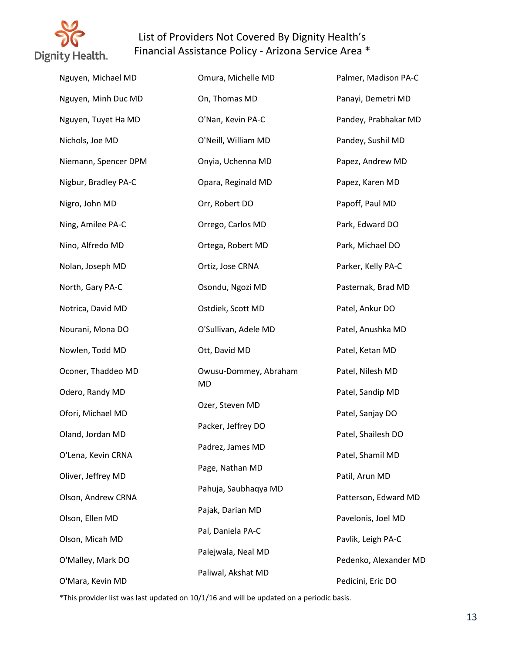

| Nguyen, Michael MD   | Omura, Michelle MD    | Palmer, Madison PA-C  |
|----------------------|-----------------------|-----------------------|
| Nguyen, Minh Duc MD  | On, Thomas MD         | Panayi, Demetri MD    |
| Nguyen, Tuyet Ha MD  | O'Nan, Kevin PA-C     | Pandey, Prabhakar MD  |
| Nichols, Joe MD      | O'Neill, William MD   | Pandey, Sushil MD     |
| Niemann, Spencer DPM | Onyia, Uchenna MD     | Papez, Andrew MD      |
| Nigbur, Bradley PA-C | Opara, Reginald MD    | Papez, Karen MD       |
| Nigro, John MD       | Orr, Robert DO        | Papoff, Paul MD       |
| Ning, Amilee PA-C    | Orrego, Carlos MD     | Park, Edward DO       |
| Nino, Alfredo MD     | Ortega, Robert MD     | Park, Michael DO      |
| Nolan, Joseph MD     | Ortiz, Jose CRNA      | Parker, Kelly PA-C    |
| North, Gary PA-C     | Osondu, Ngozi MD      | Pasternak, Brad MD    |
| Notrica, David MD    | Ostdiek, Scott MD     | Patel, Ankur DO       |
| Nourani, Mona DO     | O'Sullivan, Adele MD  | Patel, Anushka MD     |
| Nowlen, Todd MD      | Ott, David MD         | Patel, Ketan MD       |
| Oconer, Thaddeo MD   | Owusu-Dommey, Abraham | Patel, Nilesh MD      |
| Odero, Randy MD      | MD                    | Patel, Sandip MD      |
| Ofori, Michael MD    | Ozer, Steven MD       | Patel, Sanjay DO      |
| Oland, Jordan MD     | Packer, Jeffrey DO    | Patel, Shailesh DO    |
| O'Lena, Kevin CRNA   | Padrez, James MD      | Patel, Shamil MD      |
| Oliver, Jeffrey MD   | Page, Nathan MD       | Patil, Arun MD        |
| Olson, Andrew CRNA   | Pahuja, Saubhaqya MD  | Patterson, Edward MD  |
| Olson, Ellen MD      | Pajak, Darian MD      | Pavelonis, Joel MD    |
| Olson, Micah MD      | Pal, Daniela PA-C     | Pavlik, Leigh PA-C    |
| O'Malley, Mark DO    | Palejwala, Neal MD    | Pedenko, Alexander MD |
| O'Mara, Kevin MD     | Paliwal, Akshat MD    | Pedicini, Eric DO     |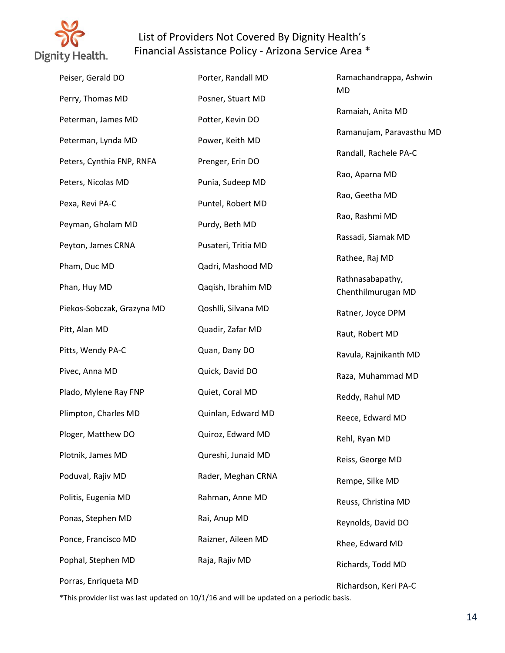

| Peiser, Gerald DO          | Porter, Randall MD  | Ramachandrappa, Ashwin                 |
|----------------------------|---------------------|----------------------------------------|
| Perry, Thomas MD           | Posner, Stuart MD   | MD                                     |
| Peterman, James MD         | Potter, Kevin DO    | Ramaiah, Anita MD                      |
| Peterman, Lynda MD         | Power, Keith MD     | Ramanujam, Paravasthu MD               |
| Peters, Cynthia FNP, RNFA  | Prenger, Erin DO    | Randall, Rachele PA-C                  |
| Peters, Nicolas MD         | Punia, Sudeep MD    | Rao, Aparna MD                         |
| Pexa, Revi PA-C            | Puntel, Robert MD   | Rao, Geetha MD                         |
| Peyman, Gholam MD          | Purdy, Beth MD      | Rao, Rashmi MD                         |
| Peyton, James CRNA         | Pusateri, Tritia MD | Rassadi, Siamak MD                     |
| Pham, Duc MD               | Qadri, Mashood MD   | Rathee, Raj MD                         |
| Phan, Huy MD               | Qaqish, Ibrahim MD  | Rathnasabapathy,<br>Chenthilmurugan MD |
| Piekos-Sobczak, Grazyna MD | Qoshlli, Silvana MD | Ratner, Joyce DPM                      |
| Pitt, Alan MD              | Quadir, Zafar MD    | Raut, Robert MD                        |
| Pitts, Wendy PA-C          | Quan, Dany DO       | Ravula, Rajnikanth MD                  |
| Pivec, Anna MD             | Quick, David DO     | Raza, Muhammad MD                      |
| Plado, Mylene Ray FNP      | Quiet, Coral MD     | Reddy, Rahul MD                        |
| Plimpton, Charles MD       | Quinlan, Edward MD  | Reece, Edward MD                       |
| Ploger, Matthew DO         | Quiroz, Edward MD   | Rehl, Ryan MD                          |
| Plotnik, James MD          | Qureshi, Junaid MD  | Reiss, George MD                       |
| Poduval, Rajiv MD          | Rader, Meghan CRNA  | Rempe, Silke MD                        |
| Politis, Eugenia MD        | Rahman, Anne MD     | Reuss, Christina MD                    |
| Ponas, Stephen MD          | Rai, Anup MD        | Reynolds, David DO                     |
| Ponce, Francisco MD        | Raizner, Aileen MD  | Rhee, Edward MD                        |
| Pophal, Stephen MD         | Raja, Rajiv MD      | Richards, Todd MD                      |
| Porras, Enriqueta MD       |                     | Richardson, Keri PA-C                  |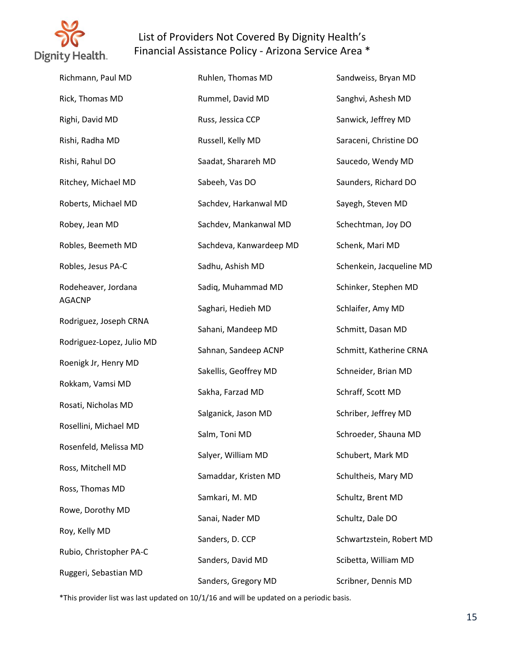

| Richmann, Paul MD         | Ruhlen, Thomas MD       | Sandweiss, Bryan MD      |
|---------------------------|-------------------------|--------------------------|
| Rick, Thomas MD           | Rummel, David MD        | Sanghvi, Ashesh MD       |
| Righi, David MD           | Russ, Jessica CCP       | Sanwick, Jeffrey MD      |
| Rishi, Radha MD           | Russell, Kelly MD       | Saraceni, Christine DO   |
| Rishi, Rahul DO           | Saadat, Sharareh MD     | Saucedo, Wendy MD        |
| Ritchey, Michael MD       | Sabeeh, Vas DO          | Saunders, Richard DO     |
| Roberts, Michael MD       | Sachdev, Harkanwal MD   | Sayegh, Steven MD        |
| Robey, Jean MD            | Sachdev, Mankanwal MD   | Schechtman, Joy DO       |
| Robles, Beemeth MD        | Sachdeva, Kanwardeep MD | Schenk, Mari MD          |
| Robles, Jesus PA-C        | Sadhu, Ashish MD        | Schenkein, Jacqueline MD |
| Rodeheaver, Jordana       | Sadiq, Muhammad MD      | Schinker, Stephen MD     |
| <b>AGACNP</b>             | Saghari, Hedieh MD      | Schlaifer, Amy MD        |
| Rodriguez, Joseph CRNA    | Sahani, Mandeep MD      | Schmitt, Dasan MD        |
| Rodriguez-Lopez, Julio MD | Sahnan, Sandeep ACNP    | Schmitt, Katherine CRNA  |
| Roenigk Jr, Henry MD      | Sakellis, Geoffrey MD   | Schneider, Brian MD      |
| Rokkam, Vamsi MD          | Sakha, Farzad MD        | Schraff, Scott MD        |
| Rosati, Nicholas MD       | Salganick, Jason MD     | Schriber, Jeffrey MD     |
| Rosellini, Michael MD     | Salm, Toni MD           | Schroeder, Shauna MD     |
| Rosenfeld, Melissa MD     | Salyer, William MD      | Schubert, Mark MD        |
| Ross, Mitchell MD         | Samaddar, Kristen MD    | Schultheis, Mary MD      |
| Ross, Thomas MD           | Samkari, M. MD          | Schultz, Brent MD        |
| Rowe, Dorothy MD          | Sanai, Nader MD         | Schultz, Dale DO         |
| Roy, Kelly MD             | Sanders, D. CCP         | Schwartzstein, Robert MD |
| Rubio, Christopher PA-C   | Sanders, David MD       | Scibetta, William MD     |
| Ruggeri, Sebastian MD     | Sanders, Gregory MD     | Scribner, Dennis MD      |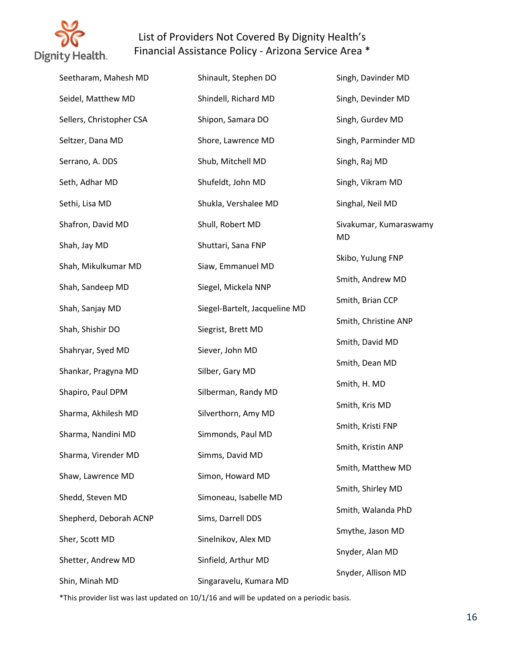

| Seetharam, Mahesh MD     | Shinault, Stephen DO          | Singh, Davinder MD     |
|--------------------------|-------------------------------|------------------------|
| Seidel, Matthew MD       | Shindell, Richard MD          | Singh, Devinder MD     |
| Sellers, Christopher CSA | Shipon, Samara DO             | Singh, Gurdev MD       |
| Seltzer, Dana MD         | Shore, Lawrence MD            | Singh, Parminder MD    |
| Serrano, A. DDS          | Shub, Mitchell MD             | Singh, Raj MD          |
| Seth, Adhar MD           | Shufeldt, John MD             | Singh, Vikram MD       |
| Sethi, Lisa MD           | Shukla, Vershalee MD          | Singhal, Neil MD       |
| Shafron, David MD        | Shull, Robert MD              | Sivakumar, Kumaraswamy |
| Shah, Jay MD             | Shuttari, Sana FNP            | MD                     |
| Shah, Mikulkumar MD      | Siaw, Emmanuel MD             | Skibo, YuJung FNP      |
| Shah, Sandeep MD         | Siegel, Mickela NNP           | Smith, Andrew MD       |
| Shah, Sanjay MD          | Siegel-Bartelt, Jacqueline MD | Smith, Brian CCP       |
| Shah, Shishir DO         | Siegrist, Brett MD            | Smith, Christine ANP   |
| Shahryar, Syed MD        | Siever, John MD               | Smith, David MD        |
| Shankar, Pragyna MD      | Silber, Gary MD               | Smith, Dean MD         |
| Shapiro, Paul DPM        | Silberman, Randy MD           | Smith, H. MD           |
| Sharma, Akhilesh MD      | Silverthorn, Amy MD           | Smith, Kris MD         |
| Sharma, Nandini MD       | Simmonds, Paul MD             | Smith, Kristi FNP      |
| Sharma, Virender MD      | Simms, David MD               | Smith, Kristin ANP     |
| Shaw, Lawrence MD        | Simon, Howard MD              | Smith, Matthew MD      |
| Shedd, Steven MD         | Simoneau, Isabelle MD         | Smith, Shirley MD      |
| Shepherd, Deborah ACNP   | Sims, Darrell DDS             | Smith, Walanda PhD     |
| Sher, Scott MD           | Sinelnikov, Alex MD           | Smythe, Jason MD       |
| Shetter, Andrew MD       | Sinfield, Arthur MD           | Snyder, Alan MD        |
| Shin, Minah MD           | Singaravelu, Kumara MD        | Snyder, Allison MD     |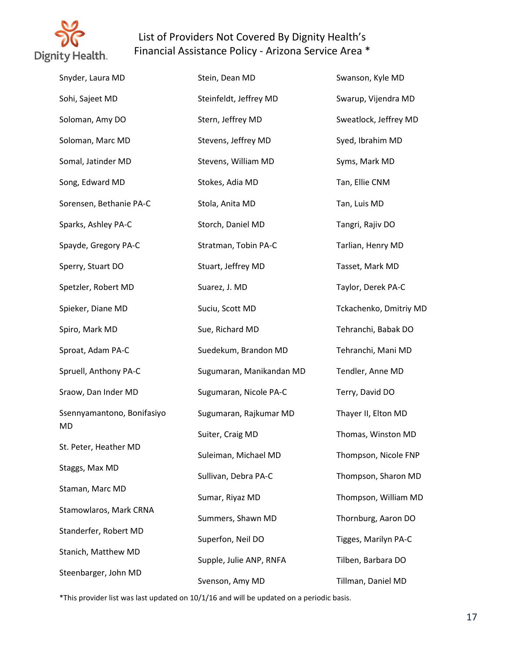

| Snyder, Laura MD           | Stein, Dean MD           | Swanson, Kyle MD       |
|----------------------------|--------------------------|------------------------|
| Sohi, Sajeet MD            | Steinfeldt, Jeffrey MD   | Swarup, Vijendra MD    |
| Soloman, Amy DO            | Stern, Jeffrey MD        | Sweatlock, Jeffrey MD  |
| Soloman, Marc MD           | Stevens, Jeffrey MD      | Syed, Ibrahim MD       |
| Somal, Jatinder MD         | Stevens, William MD      | Syms, Mark MD          |
| Song, Edward MD            | Stokes, Adia MD          | Tan, Ellie CNM         |
| Sorensen, Bethanie PA-C    | Stola, Anita MD          | Tan, Luis MD           |
| Sparks, Ashley PA-C        | Storch, Daniel MD        | Tangri, Rajiv DO       |
| Spayde, Gregory PA-C       | Stratman, Tobin PA-C     | Tarlian, Henry MD      |
| Sperry, Stuart DO          | Stuart, Jeffrey MD       | Tasset, Mark MD        |
| Spetzler, Robert MD        | Suarez, J. MD            | Taylor, Derek PA-C     |
| Spieker, Diane MD          | Suciu, Scott MD          | Tckachenko, Dmitriy MD |
| Spiro, Mark MD             | Sue, Richard MD          | Tehranchi, Babak DO    |
| Sproat, Adam PA-C          | Suedekum, Brandon MD     | Tehranchi, Mani MD     |
| Spruell, Anthony PA-C      | Sugumaran, Manikandan MD | Tendler, Anne MD       |
| Sraow, Dan Inder MD        | Sugumaran, Nicole PA-C   | Terry, David DO        |
| Ssennyamantono, Bonifasiyo | Sugumaran, Rajkumar MD   | Thayer II, Elton MD    |
| MD                         | Suiter, Craig MD         | Thomas, Winston MD     |
| St. Peter, Heather MD      | Suleiman, Michael MD     | Thompson, Nicole FNP   |
| Staggs, Max MD             | Sullivan, Debra PA-C     | Thompson, Sharon MD    |
| Staman, Marc MD            | Sumar, Riyaz MD          | Thompson, William MD   |
| Stamowlaros, Mark CRNA     | Summers, Shawn MD        | Thornburg, Aaron DO    |
| Standerfer, Robert MD      | Superfon, Neil DO        | Tigges, Marilyn PA-C   |
| Stanich, Matthew MD        | Supple, Julie ANP, RNFA  | Tilben, Barbara DO     |
| Steenbarger, John MD       | Svenson, Amy MD          | Tillman, Daniel MD     |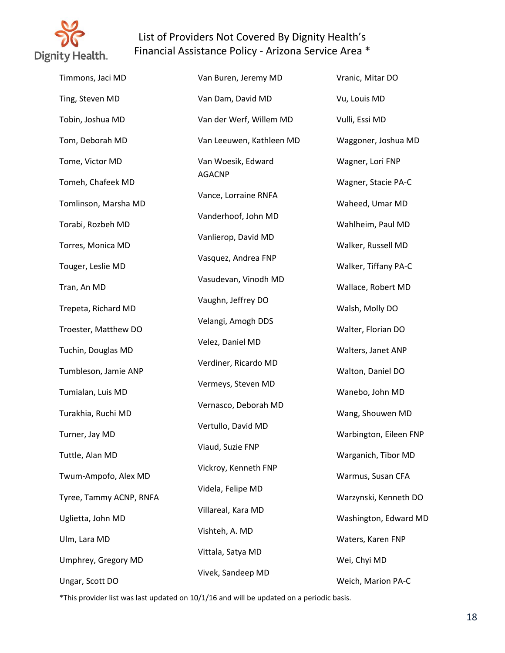

Timmons, Jaci MD Ting, Steven MD Tobin, Joshua MD Tom, Deborah MD Tome, Victor MD Tomeh, Chafeek MD Tomlinson, Marsha MD Torabi, Rozbeh MD Torres, Monica MD Touger, Leslie MD Tran, An MD Trepeta, Richard MD Troester, Matthew DO Tuchin, Douglas MD Tumbleson, Jamie ANP Tumialan, Luis MD Turakhia, Ruchi MD Turner, Jay MD Tuttle, Alan MD Twum-Ampofo, Alex MD Tyree, Tammy ACNP, RNFA Uglietta, John MD Ulm, Lara MD Umphrey, Gregory MD Ungar, Scott DO Van Buren, Jeremy MD Van Dam, David MD Van der Werf, Willem MD Van Leeuwen, Kathleen MD Van Woesik, Edward AGACNP Vance, Lorraine RNFA Vanderhoof, John MD Vanlierop, David MD Vasquez, Andrea FNP Vasudevan, Vinodh MD Vaughn, Jeffrey DO Velangi, Amogh DDS Velez, Daniel MD Verdiner, Ricardo MD Vermeys, Steven MD Vernasco, Deborah MD Vertullo, David MD Viaud, Suzie FNP Vickroy, Kenneth FNP Videla, Felipe MD Villareal, Kara MD Vishteh, A. MD Vittala, Satya MD Vivek, Sandeep MD

Vranic, Mitar DO Vu, Louis MD Vulli, Essi MD Waggoner, Joshua MD Wagner, Lori FNP Wagner, Stacie PA-C Waheed, Umar MD Wahlheim, Paul MD Walker, Russell MD Walker, Tiffany PA-C Wallace, Robert MD Walsh, Molly DO Walter, Florian DO Walters, Janet ANP Walton, Daniel DO Wanebo, John MD Wang, Shouwen MD Warbington, Eileen FNP Warganich, Tibor MD Warmus, Susan CFA Warzynski, Kenneth DO Washington, Edward MD Waters, Karen FNP Wei, Chyi MD Weich, Marion PA-C